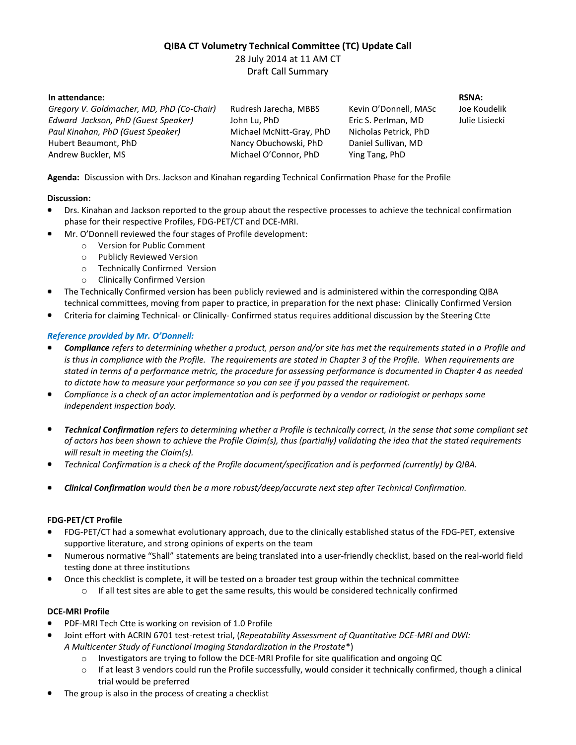# **QIBA CT Volumetry Technical Committee (TC) Update Call**

28 July 2014 at 11 AM CT Draft Call Summary

**In attendance:**

*Gregory V. Goldmacher, MD, PhD (Co-Chair) Edward Jackson, PhD (Guest Speaker) Paul Kinahan, PhD (Guest Speaker)* Hubert Beaumont, PhD Andrew Buckler, MS Rudresh Jarecha, MBBS John Lu, PhD Michael McNitt-Gray, PhD Nancy Obuchowski, PhD Michael O'Connor, PhD

Kevin O'Donnell, MASc Eric S. Perlman, MD Nicholas Petrick, PhD Daniel Sullivan, MD Ying Tang, PhD

**RSNA:** Joe Koudelik Julie Lisiecki

**Agenda:** Discussion with Drs. Jackson and Kinahan regarding Technical Confirmation Phase for the Profile

## **Discussion:**

- Drs. Kinahan and Jackson reported to the group about the respective processes to achieve the technical confirmation phase for their respective Profiles, FDG-PET/CT and DCE-MRI.
- Mr. O'Donnell reviewed the four stages of Profile development:
	- o Version for Public Comment
	- o Publicly Reviewed Version
	- o Technically Confirmed Version
	- o Clinically Confirmed Version
- The Technically Confirmed version has been publicly reviewed and is administered within the corresponding QIBA technical committees, moving from paper to practice, in preparation for the next phase: Clinically Confirmed Version
- Criteria for claiming Technical- or Clinically- Confirmed status requires additional discussion by the Steering Ctte

# *Reference provided by Mr. O'Donnell:*

- *Compliance refers to determining whether a product, person and/or site has met the requirements stated in a Profile and is thus in compliance with the Profile. The requirements are stated in Chapter 3 of the Profile. When requirements are stated in terms of a performance metric, the procedure for assessing performance is documented in Chapter 4 as needed to dictate how to measure your performance so you can see if you passed the requirement.*
- *Compliance is a check of an actor implementation and is performed by a vendor or radiologist or perhaps some independent inspection body.*
- *Technical Confirmation refers to determining whether a Profile is technically correct, in the sense that some compliant set of actors has been shown to achieve the Profile Claim(s), thus (partially) validating the idea that the stated requirements will result in meeting the Claim(s).*
- *Technical Confirmation is a check of the Profile document/specification and is performed (currently) by QIBA.*
- *Clinical Confirmation would then be a more robust/deep/accurate next step after Technical Confirmation.*

## **FDG-PET/CT Profile**

- FDG-PET/CT had a somewhat evolutionary approach, due to the clinically established status of the FDG-PET, extensive supportive literature, and strong opinions of experts on the team
- Numerous normative "Shall" statements are being translated into a user-friendly checklist, based on the real-world field testing done at three institutions
- Once this checklist is complete, it will be tested on a broader test group within the technical committee
	- $\circ$  If all test sites are able to get the same results, this would be considered technically confirmed

## **DCE-MRI Profile**

- PDF-MRI Tech Ctte is working on revision of 1.0 Profile
- Joint effort with ACRIN 6701 test-retest trial, (*Repeatability Assessment of Quantitative DCE-MRI and DWI: A Multicenter Study of Functional Imaging Standardization in the Prostate*\*)
	- o Investigators are trying to follow the DCE-MRI Profile for site qualification and ongoing QC
	- $\circ$  If at least 3 vendors could run the Profile successfully, would consider it technically confirmed, though a clinical trial would be preferred
- The group is also in the process of creating a checklist